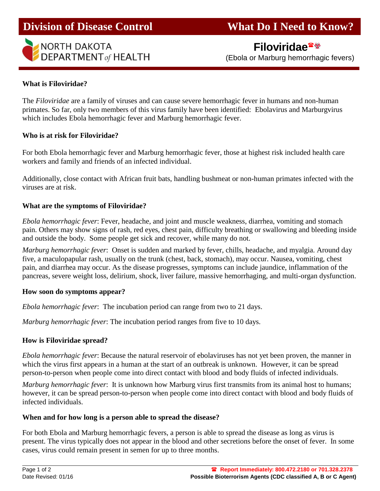

 **Filoviridae** (Ebola or Marburg hemorrhagic fevers)

# **What is Filoviridae?**

The *Filoviridae* are a family of viruses and can cause severe hemorrhagic fever in humans and non-human primates. So far, only two members of this virus family have been identified: Ebolavirus and Marburgvirus which includes Ebola hemorrhagic fever and Marburg hemorrhagic fever.

#### **Who is at risk for Filoviridae?**

For both Ebola hemorrhagic fever and Marburg hemorrhagic fever, those at highest risk included health care workers and family and friends of an infected individual.

Additionally, close contact with African fruit bats, handling bushmeat or non-human primates infected with the viruses are at risk.

## **What are the symptoms of Filoviridae?**

*Ebola hemorrhagic fever*: Fever, headache, and joint and muscle weakness, diarrhea, vomiting and stomach pain. Others may show signs of rash, red eyes, chest pain, difficulty breathing or swallowing and bleeding inside and outside the body. Some people get sick and recover, while many do not.

*Marburg hemorrhagic fever*: Onset is sudden and marked by fever, chills, headache, and myalgia. Around day five, a maculopapular rash, usually on the trunk (chest, back, stomach), may occur. Nausea, vomiting, chest pain, and diarrhea may occur. As the disease progresses, symptoms can include jaundice, inflammation of the pancreas, severe weight loss, delirium, shock, liver failure, massive hemorrhaging, and multi-organ dysfunction.

#### **How soon do symptoms appear?**

*Ebola hemorrhagic fever*: The incubation period can range from two to 21 days.

*Marburg hemorrhagic fever*: The incubation period ranges from five to 10 days.

## **How is Filoviridae spread?**

*Ebola hemorrhagic fever*: Because the natural reservoir of ebolaviruses has not yet been proven, the manner in which the virus first appears in a human at the start of an outbreak is unknown. However, it can be spread person-to-person when people come into direct contact with blood and body fluids of infected individuals.

*Marburg hemorrhagic fever*: It is unknown how Marburg virus first transmits from its animal host to humans; however, it can be spread person-to-person when people come into direct contact with blood and body fluids of infected individuals.

#### **When and for how long is a person able to spread the disease?**

For both Ebola and Marburg hemorrhagic fevers, a person is able to spread the disease as long as virus is present. The virus typically does not appear in the blood and other secretions before the onset of fever. In some cases, virus could remain present in semen for up to three months.